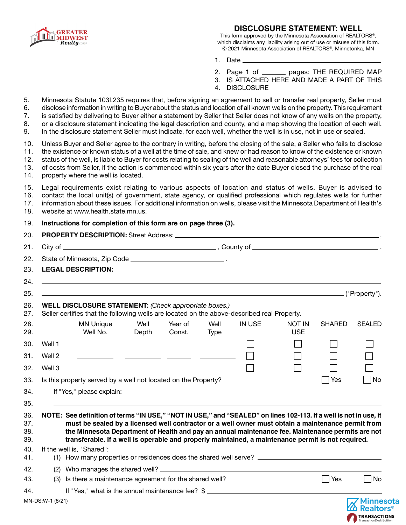

### **DISCLOSURE STATEMENT: WELL**

This form approved by the Minnesota Association of REALTORS®, which disclaims any liability arising out of use or misuse of this form. © 2021 Minnesota Association of REALTORS®, Minnetonka, MN

- 1. Date
- 2. Page 1 of \_\_\_\_\_\_\_\_ pages: THE REQUIRED MAP
- 3. IS ATTACHED HERE AND MADE A PART OF THIS
- 4. DISCLOSURE

5. Minnesota Statute 103I.235 requires that, before signing an agreement to sell or transfer real property, Seller must 6. disclose information in writing to Buyer about the status and location of all known wells on the property. This requirement 7. is satisfied by delivering to Buyer either a statement by Seller that Seller does not know of any wells on the property, 8. or a disclosure statement indicating the legal description and county, and a map showing the location of each well. 9. In the disclosure statement Seller must indicate, for each well, whether the well is in use, not in use or sealed.

10. Unless Buyer and Seller agree to the contrary in writing, before the closing of the sale, a Seller who fails to disclose 11. the existence or known status of a well at the time of sale, and knew or had reason to know of the existence or known 12. status of the well, is liable to Buyer for costs relating to sealing of the well and reasonable attorneys' fees for collection 13. of costs from Seller, if the action is commenced within six years after the date Buyer closed the purchase of the real

14. property where the well is located.

15. Legal requirements exist relating to various aspects of location and status of wells. Buyer is advised to 16. contact the local unit(s) of government, state agency, or qualified professional which regulates wells for further

17. information about these issues. For additional information on wells, please visit the Minnesota Department of Health's

| 18.                      | website at www.health.state.mn.us.                              |                                                                                                                                                                                                                                                                                                                                                                                                                                   |               |                                                                                                                       |              |               |                             |               |               |  |  |  |
|--------------------------|-----------------------------------------------------------------|-----------------------------------------------------------------------------------------------------------------------------------------------------------------------------------------------------------------------------------------------------------------------------------------------------------------------------------------------------------------------------------------------------------------------------------|---------------|-----------------------------------------------------------------------------------------------------------------------|--------------|---------------|-----------------------------|---------------|---------------|--|--|--|
| 19.                      | Instructions for completion of this form are on page three (3). |                                                                                                                                                                                                                                                                                                                                                                                                                                   |               |                                                                                                                       |              |               |                             |               |               |  |  |  |
| 20.                      |                                                                 |                                                                                                                                                                                                                                                                                                                                                                                                                                   |               |                                                                                                                       |              |               |                             |               |               |  |  |  |
| 21.                      |                                                                 |                                                                                                                                                                                                                                                                                                                                                                                                                                   |               |                                                                                                                       |              |               |                             |               |               |  |  |  |
| 22.                      |                                                                 |                                                                                                                                                                                                                                                                                                                                                                                                                                   |               |                                                                                                                       |              |               |                             |               |               |  |  |  |
| 23.                      |                                                                 | <b>LEGAL DESCRIPTION:</b>                                                                                                                                                                                                                                                                                                                                                                                                         |               |                                                                                                                       |              |               |                             |               |               |  |  |  |
| 24.                      |                                                                 |                                                                                                                                                                                                                                                                                                                                                                                                                                   |               |                                                                                                                       |              |               |                             |               |               |  |  |  |
| 25.                      |                                                                 | ,我们也不会有一个人的人,我们也不会有一个人的人,我们也不会有一个人的人。""我们,我们也不会有一个人的人,我们也不会有一个人的人,我们也不会有一个人的人,我们                                                                                                                                                                                                                                                                                                                                                  |               |                                                                                                                       |              |               |                             |               | ("Property"). |  |  |  |
| 26.<br>27.               |                                                                 | WELL DISCLOSURE STATEMENT: (Check appropriate boxes.)<br>Seller certifies that the following wells are located on the above-described real Property.                                                                                                                                                                                                                                                                              |               |                                                                                                                       |              |               |                             |               |               |  |  |  |
| 28.<br>29.               |                                                                 | <b>MN Unique</b><br>Well No.                                                                                                                                                                                                                                                                                                                                                                                                      | Well<br>Depth | Year of<br>Const.                                                                                                     | Well<br>Type | <b>IN USE</b> | <b>NOT IN</b><br><b>USE</b> | <b>SHARED</b> | <b>SEALED</b> |  |  |  |
| 30.                      | Well 1                                                          |                                                                                                                                                                                                                                                                                                                                                                                                                                   |               | <u> 1989 - John Harry Harry Harry Harry Harry Harry Harry Harry Harry Harry Harry Harry Harry Harry Harry Harry H</u> |              |               |                             |               |               |  |  |  |
| 31.                      | Well 2                                                          |                                                                                                                                                                                                                                                                                                                                                                                                                                   |               |                                                                                                                       |              |               |                             |               |               |  |  |  |
| 32.                      | Well 3                                                          |                                                                                                                                                                                                                                                                                                                                                                                                                                   |               |                                                                                                                       |              |               |                             |               |               |  |  |  |
| 33.                      |                                                                 | Is this property served by a well not located on the Property?                                                                                                                                                                                                                                                                                                                                                                    |               |                                                                                                                       |              |               |                             | Yes           | No            |  |  |  |
| 34.                      |                                                                 | If "Yes," please explain:                                                                                                                                                                                                                                                                                                                                                                                                         |               |                                                                                                                       |              |               |                             |               |               |  |  |  |
| 35.                      |                                                                 |                                                                                                                                                                                                                                                                                                                                                                                                                                   |               |                                                                                                                       |              |               |                             |               |               |  |  |  |
| 36.<br>37.<br>38.<br>39. |                                                                 | NOTE: See definition of terms "IN USE," "NOT IN USE," and "SEALED" on lines 102-113. If a well is not in use, it<br>must be sealed by a licensed well contractor or a well owner must obtain a maintenance permit from<br>the Minnesota Department of Health and pay an annual maintenance fee. Maintenance permits are not<br>transferable. If a well is operable and properly maintained, a maintenance permit is not required. |               |                                                                                                                       |              |               |                             |               |               |  |  |  |
| 40.<br>41.               |                                                                 | If the well is, "Shared":                                                                                                                                                                                                                                                                                                                                                                                                         |               |                                                                                                                       |              |               |                             |               |               |  |  |  |
| 42.                      |                                                                 |                                                                                                                                                                                                                                                                                                                                                                                                                                   |               |                                                                                                                       |              |               |                             |               |               |  |  |  |
| 43.                      | (3) Is there a maintenance agreement for the shared well?       |                                                                                                                                                                                                                                                                                                                                                                                                                                   |               |                                                                                                                       |              |               | <b>Yes</b>                  | No            |               |  |  |  |
| 44.                      | If "Yes," what is the annual maintenance fee? \$                |                                                                                                                                                                                                                                                                                                                                                                                                                                   |               |                                                                                                                       |              |               |                             |               |               |  |  |  |

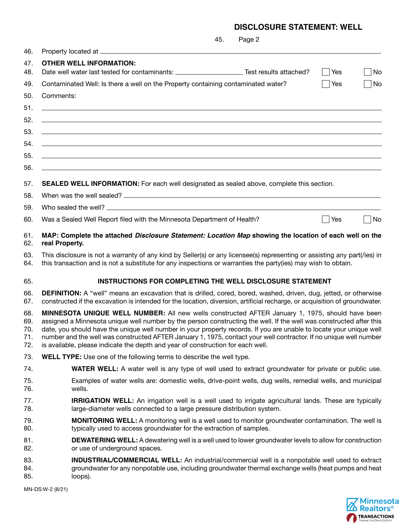# **DISCLOSURE STATEMENT: WELL**

|                                 | 45.<br>Page 2                                                                                                                                                                                                                                                                                                                                                                                                                                                                                                                                         |  |  |  |  |  |  |
|---------------------------------|-------------------------------------------------------------------------------------------------------------------------------------------------------------------------------------------------------------------------------------------------------------------------------------------------------------------------------------------------------------------------------------------------------------------------------------------------------------------------------------------------------------------------------------------------------|--|--|--|--|--|--|
| 46.                             |                                                                                                                                                                                                                                                                                                                                                                                                                                                                                                                                                       |  |  |  |  |  |  |
| 47.                             | <b>OTHER WELL INFORMATION:</b>                                                                                                                                                                                                                                                                                                                                                                                                                                                                                                                        |  |  |  |  |  |  |
| 48.                             | Date well water last tested for contaminants: _________________________Test results attached?<br>  Yes<br>No                                                                                                                                                                                                                                                                                                                                                                                                                                          |  |  |  |  |  |  |
| 49.                             | Contaminated Well: Is there a well on the Property containing contaminated water?<br><b>Yes</b><br>No                                                                                                                                                                                                                                                                                                                                                                                                                                                 |  |  |  |  |  |  |
| 50.                             | Comments:                                                                                                                                                                                                                                                                                                                                                                                                                                                                                                                                             |  |  |  |  |  |  |
| 51.                             | ,我们也不会有什么。""我们的人,我们也不会有什么?""我们的人,我们也不会有什么?""我们的人,我们也不会有什么?""我们的人,我们也不会有什么?""我们的人                                                                                                                                                                                                                                                                                                                                                                                                                                                                      |  |  |  |  |  |  |
| 52.                             | <u> 1999 - Johann Harry Harry Harry Harry Harry Harry Harry Harry Harry Harry Harry Harry Harry Harry Harry Harry</u>                                                                                                                                                                                                                                                                                                                                                                                                                                 |  |  |  |  |  |  |
| 53.                             | <u> 1999 - Jan Barbara, martxa al II-lea (h. 1989).</u>                                                                                                                                                                                                                                                                                                                                                                                                                                                                                               |  |  |  |  |  |  |
| 54.                             | <u> 1999 - Johann Harry Harry Harry Harry Harry Harry Harry Harry Harry Harry Harry Harry Harry Harry Harry Harry</u>                                                                                                                                                                                                                                                                                                                                                                                                                                 |  |  |  |  |  |  |
| 55.                             | <u> 1989 - Johann Stoff, amerikansk politiker (d. 1989)</u>                                                                                                                                                                                                                                                                                                                                                                                                                                                                                           |  |  |  |  |  |  |
| 56.                             | ,我们也不会有什么。""我们的人,我们也不会有什么?""我们的人,我们也不会有什么?""我们的人,我们也不会有什么?""我们的人,我们也不会有什么?""我们的人                                                                                                                                                                                                                                                                                                                                                                                                                                                                      |  |  |  |  |  |  |
| 57.                             | <b>SEALED WELL INFORMATION:</b> For each well designated as sealed above, complete this section.                                                                                                                                                                                                                                                                                                                                                                                                                                                      |  |  |  |  |  |  |
| 58.                             |                                                                                                                                                                                                                                                                                                                                                                                                                                                                                                                                                       |  |  |  |  |  |  |
| 59.                             |                                                                                                                                                                                                                                                                                                                                                                                                                                                                                                                                                       |  |  |  |  |  |  |
| 60.                             | Was a Sealed Well Report filed with the Minnesota Department of Health?<br>Yes<br>No                                                                                                                                                                                                                                                                                                                                                                                                                                                                  |  |  |  |  |  |  |
|                                 |                                                                                                                                                                                                                                                                                                                                                                                                                                                                                                                                                       |  |  |  |  |  |  |
| 61.<br>62.                      | MAP: Complete the attached Disclosure Statement: Location Map showing the location of each well on the<br>real Property.                                                                                                                                                                                                                                                                                                                                                                                                                              |  |  |  |  |  |  |
| 63.<br>64.                      | This disclosure is not a warranty of any kind by Seller(s) or any licensee(s) representing or assisting any part(/ies) in<br>this transaction and is not a substitute for any inspections or warranties the party(ies) may wish to obtain.                                                                                                                                                                                                                                                                                                            |  |  |  |  |  |  |
| 65.                             | INSTRUCTIONS FOR COMPLETING THE WELL DISCLOSURE STATEMENT                                                                                                                                                                                                                                                                                                                                                                                                                                                                                             |  |  |  |  |  |  |
| 66.<br>67.                      | <b>DEFINITION:</b> A "well" means an excavation that is drilled, cored, bored, washed, driven, dug, jetted, or otherwise<br>constructed if the excavation is intended for the location, diversion, artificial recharge, or acquisition of groundwater.                                                                                                                                                                                                                                                                                                |  |  |  |  |  |  |
| 68.<br>69.<br>70.<br>71.<br>72. | MINNESOTA UNIQUE WELL NUMBER: All new wells constructed AFTER January 1, 1975, should have been<br>assigned a Minnesota unique well number by the person constructing the well. If the well was constructed after this<br>date, you should have the unique well number in your property records. If you are unable to locate your unique well<br>number and the well was constructed AFTER January 1, 1975, contact your well contractor. If no unique well number<br>is available, please indicate the depth and year of construction for each well. |  |  |  |  |  |  |
| 73.                             | <b>WELL TYPE:</b> Use one of the following terms to describe the well type.                                                                                                                                                                                                                                                                                                                                                                                                                                                                           |  |  |  |  |  |  |
| 74.                             | <b>WATER WELL:</b> A water well is any type of well used to extract groundwater for private or public use.                                                                                                                                                                                                                                                                                                                                                                                                                                            |  |  |  |  |  |  |
| 75.<br>76.                      | Examples of water wells are: domestic wells, drive-point wells, dug wells, remedial wells, and municipal<br>wells.                                                                                                                                                                                                                                                                                                                                                                                                                                    |  |  |  |  |  |  |
| 77.<br>78.                      | <b>IRRIGATION WELL:</b> An irrigation well is a well used to irrigate agricultural lands. These are typically<br>large-diameter wells connected to a large pressure distribution system.                                                                                                                                                                                                                                                                                                                                                              |  |  |  |  |  |  |
| 79.<br>80.                      | <b>MONITORING WELL:</b> A monitoring well is a well used to monitor groundwater contamination. The well is<br>typically used to access groundwater for the extraction of samples.                                                                                                                                                                                                                                                                                                                                                                     |  |  |  |  |  |  |
| 81.<br>82.                      | <b>DEWATERING WELL:</b> A dewatering well is a well used to lower groundwater levels to allow for construction<br>or use of underground spaces.                                                                                                                                                                                                                                                                                                                                                                                                       |  |  |  |  |  |  |
| 83.<br>84.<br>85.               | <b>INDUSTRIAL/COMMERCIAL WELL:</b> An industrial/commercial well is a nonpotable well used to extract<br>groundwater for any nonpotable use, including groundwater thermal exchange wells (heat pumps and heat<br>loops).                                                                                                                                                                                                                                                                                                                             |  |  |  |  |  |  |
|                                 | MN-DS:W-2 (8/21)                                                                                                                                                                                                                                                                                                                                                                                                                                                                                                                                      |  |  |  |  |  |  |